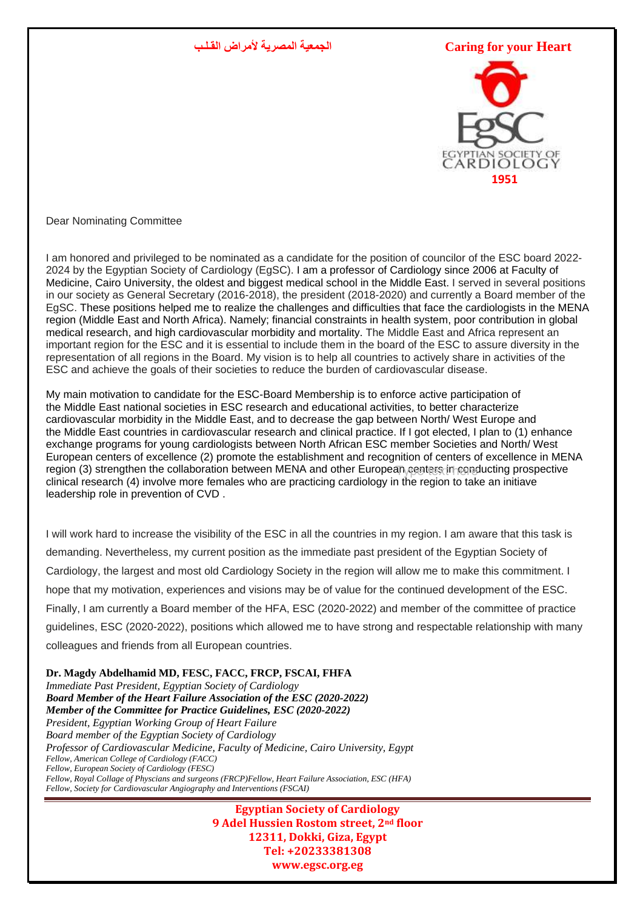## **Heart your for Caring الجمعية المصرية ألمراض القـلـب**



Dear Nominating Committee

I am honored and privileged to be nominated as a candidate for the position of councilor of the ESC board 2022- 2024 by the Egyptian Society of Cardiology (EgSC). I am a professor of Cardiology since 2006 at Faculty of Medicine, Cairo University, the oldest and biggest medical school in the Middle East. I served in several positions in our society as General Secretary (2016-2018), the president (2018-2020) and currently a Board member of the EgSC. These positions helped me to realize the challenges and difficulties that face the cardiologists in the MENA region (Middle East and North Africa). Namely; financial constraints in health system, poor contribution in global medical research, and high cardiovascular morbidity and mortality. The Middle East and Africa represent an important region for the ESC and it is essential to include them in the board of the ESC to assure diversity in the representation of all regions in the Board. My vision is to help all countries to actively share in activities of the ESC and achieve the goals of their societies to reduce the burden of cardiovascular disease.

My main motivation to candidate for the ESC-Board Membership is to enforce active participation of the Middle East national societies in ESC research and educational activities, to better characterize cardiovascular morbidity in the Middle East, and to decrease the gap between North/ West Europe and the Middle East countries in cardiovascular research and clinical practice. If I got elected, I plan to (1) enhance exchange programs for young cardiologists between North African ESC member Societies and North/ West European centers of excellence (2) promote the establishment and recognition of centers of excellence in MENA region (3) strengthen the collaboration between MENA and other European centers in conducting prospective clinical research (4) involve more females who are practicing cardiology in the region to take an initiave leadership role in prevention of CVD .

I will work hard to increase the visibility of the ESC in all the countries in my region. I am aware that this task is demanding. Nevertheless, my current position as the immediate past president of the Egyptian Society of Cardiology, the largest and most old Cardiology Society in the region will allow me to make this commitment. I hope that my motivation, experiences and visions may be of value for the continued development of the ESC. Finally, I am currently a Board member of the HFA, ESC (2020-2022) and member of the committee of practice guidelines, ESC (2020-2022), positions which allowed me to have strong and respectable relationship with many colleagues and friends from all European countries.

**Dr. Magdy Abdelhamid MD, FESC, FACC, FRCP, FSCAI, FHFA** *Immediate Past President, Egyptian Society of Cardiology Board Member of the Heart Failure Association of the ESC (2020-2022) Member of the Committee for Practice Guidelines, ESC (2020-2022) President, Egyptian Working Group of Heart Failure Board member of the Egyptian Society of Cardiology Professor of Cardiovascular Medicine, Faculty of Medicine, Cairo University, Egypt Fellow, American College of Cardiology (FACC) Fellow, European Society of Cardiology (FESC) Fellow, Royal Collage of Physcians and surgeons (FRCP)Fellow, Heart Failure Association, ESC (HFA) Fellow, Society for Cardiovascular Angiography and Interventions (FSCAI)*

> **Egyptian Society of Cardiology 9 Adel Hussien Rostom street, 2nd floor 12311, Dokki, Giza, Egypt Tel: +20233381308 www.egsc.org.eg**